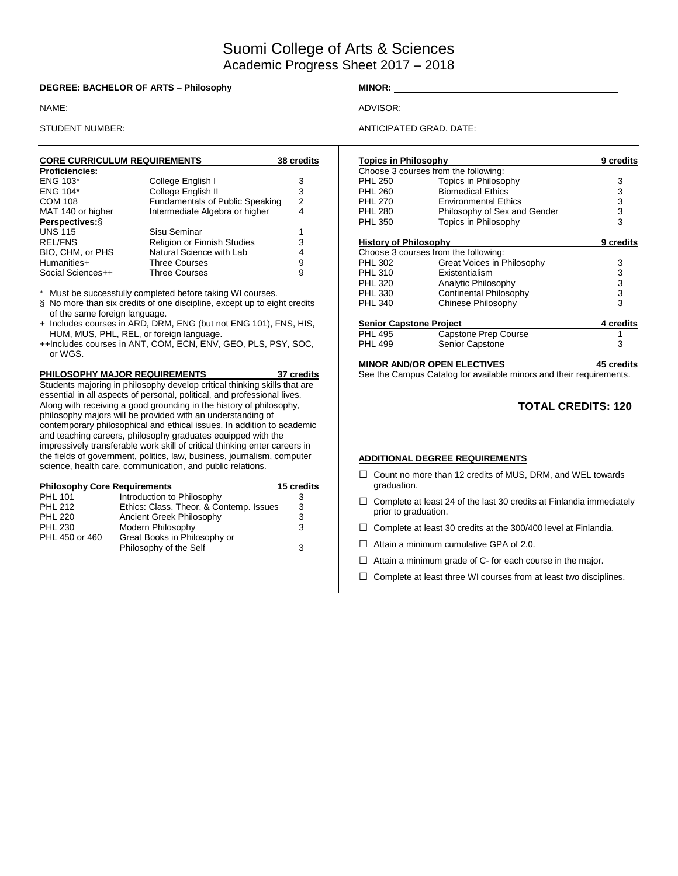# Suomi College of Arts & Sciences Academic Progress Sheet 2017 – 2018

#### **DEGREE: BACHELOR OF ARTS – Philosophy MINOR:** \_\_\_\_\_\_\_\_\_

NAME: ADVISOR:

| <b>CORE CURRICULUM REQUIREMENTS</b> |                                        | 38 credits |
|-------------------------------------|----------------------------------------|------------|
| <b>Proficiencies:</b>               |                                        |            |
| <b>ENG 103*</b>                     | College English I                      | 3          |
| <b>ENG 104*</b>                     | College English II                     | 3          |
| <b>COM 108</b>                      | <b>Fundamentals of Public Speaking</b> | 2          |
| MAT 140 or higher                   | Intermediate Algebra or higher         | 4          |
| Perspectives: §                     |                                        |            |
| <b>UNS 115</b>                      | Sisu Seminar                           |            |
| <b>REL/FNS</b>                      | <b>Religion or Finnish Studies</b>     | 3          |
| BIO, CHM, or PHS                    | Natural Science with Lab               | 4          |
| Humanities+                         | <b>Three Courses</b>                   | 9          |
| Social Sciences++                   | <b>Three Courses</b>                   | 9          |

Must be successfully completed before taking WI courses.

- § No more than six credits of one discipline, except up to eight credits of the same foreign language.
- + Includes courses in ARD, DRM, ENG (but not ENG 101), FNS, HIS, HUM, MUS, PHL, REL, or foreign language.
- ++Includes courses in ANT, COM, ECN, ENV, GEO, PLS, PSY, SOC, or WGS.

**PHILOSOPHY MAJOR REQUIREMENTS 37 credits** Students majoring in philosophy develop critical thinking skills that are essential in all aspects of personal, political, and professional lives. Along with receiving a good grounding in the history of philosophy, philosophy majors will be provided with an understanding of contemporary philosophical and ethical issues. In addition to academic and teaching careers, philosophy graduates equipped with the impressively transferable work skill of critical thinking enter careers in the fields of government, politics, law, business, journalism, computer science, health care, communication, and public relations.

| <b>Philosophy Core Requirements</b> |                                         | 15 credits |
|-------------------------------------|-----------------------------------------|------------|
| <b>PHL 101</b>                      | Introduction to Philosophy              | З          |
| <b>PHL 212</b>                      | Ethics: Class. Theor. & Contemp. Issues | 3          |
| <b>PHL 220</b>                      | Ancient Greek Philosophy                | 3          |
| <b>PHL 230</b>                      | Modern Philosophy                       | 3          |
| PHL 450 or 460                      | Great Books in Philosophy or            |            |
|                                     | Philosophy of the Self                  | 3          |

STUDENT NUMBER: ANTICIPATED GRAD. DATE:

| <b>Topics in Philosophy</b>    |                                      | 9 credits  |
|--------------------------------|--------------------------------------|------------|
|                                | Choose 3 courses from the following: |            |
| <b>PHL 250</b>                 | Topics in Philosophy                 | 3          |
| <b>PHL 260</b>                 | <b>Biomedical Ethics</b>             | 3          |
| <b>PHL 270</b>                 | <b>Environmental Ethics</b>          | 3          |
| <b>PHL 280</b>                 | Philosophy of Sex and Gender         | 3          |
| <b>PHL 350</b>                 | Topics in Philosophy                 | 3          |
| <b>History of Philosophy</b>   |                                      | 9 credits  |
|                                | Choose 3 courses from the following: |            |
| <b>PHL 302</b>                 | Great Voices in Philosophy           | 3          |
| <b>PHL 310</b>                 | Existentialism                       | 3          |
| <b>PHL 320</b>                 | Analytic Philosophy                  | 3          |
| <b>PHL 330</b>                 | Continental Philosophy               | 3          |
| <b>PHL 340</b>                 | Chinese Philosophy                   | 3          |
| <b>Senior Capstone Project</b> |                                      | 4 credits  |
| <b>PHL 495</b>                 | Capstone Prep Course                 |            |
| <b>PHL 499</b>                 | <b>Senior Capstone</b>               | 3          |
|                                | <b>MINOR AND/OR OPEN ELECTIVES</b>   | 45 credits |

See the Campus Catalog for available minors and their requirements.

### **TOTAL CREDITS: 120**

#### **ADDITIONAL DEGREE REQUIREMENTS**

- □ Count no more than 12 credits of MUS, DRM, and WEL towards graduation.
- $\Box$  Complete at least 24 of the last 30 credits at Finlandia immediately prior to graduation.
- $\Box$  Complete at least 30 credits at the 300/400 level at Finlandia.
- $\Box$  Attain a minimum cumulative GPA of 2.0.
- $\Box$  Attain a minimum grade of C- for each course in the major.
- $\Box$  Complete at least three WI courses from at least two disciplines.